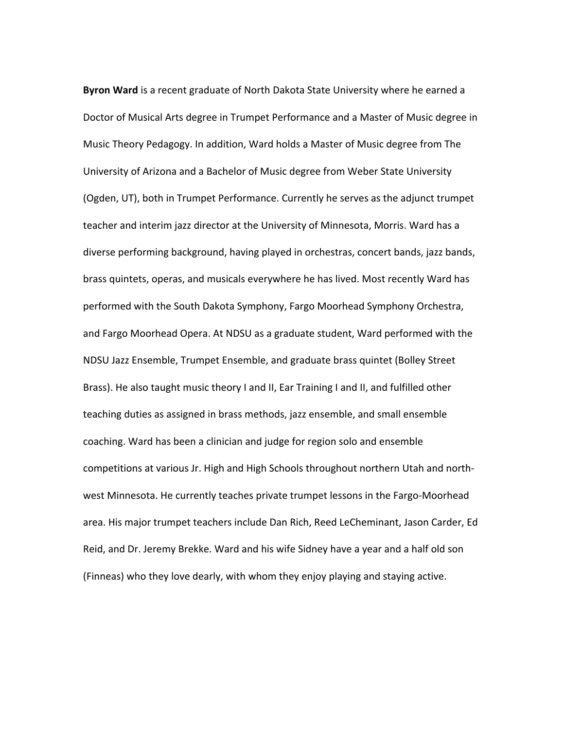**Byron Ward** is a recent graduate of North Dakota State University where he earned a Doctor of Musical Arts degree in Trumpet Performance and a Master of Music degree in Music Theory Pedagogy. In addition, Ward holds a Master of Music degree from The University of Arizona and a Bachelor of Music degree from Weber State University (Ogden, UT), both in Trumpet Performance. Currently he serves as the adjunct trumpet teacher and interim jazz director at the University of Minnesota, Morris. Ward has a diverse performing background, having played in orchestras, concert bands, jazz bands, brass quintets, operas, and musicals everywhere he has lived. Most recently Ward has performed with the South Dakota Symphony, Fargo Moorhead Symphony Orchestra, and Fargo Moorhead Opera. At NDSU as a graduate student, Ward performed with the NDSU Jazz Ensemble, Trumpet Ensemble, and graduate brass quintet (Bolley Street Brass). He also taught music theory I and II, Ear Training I and II, and fulfilled other teaching duties as assigned in brass methods, jazz ensemble, and small ensemble coaching. Ward has been a clinician and judge for region solo and ensemble competitions at various Jr. High and High Schools throughout northern Utah and northwest Minnesota. He currently teaches private trumpet lessons in the Fargo-Moorhead area. His major trumpet teachers include Dan Rich, Reed LeCheminant, Jason Carder, Ed Reid, and Dr. Jeremy Brekke. Ward and his wife Sidney have a year and a half old son (Finneas) who they love dearly, with whom they enjoy playing and staying active.